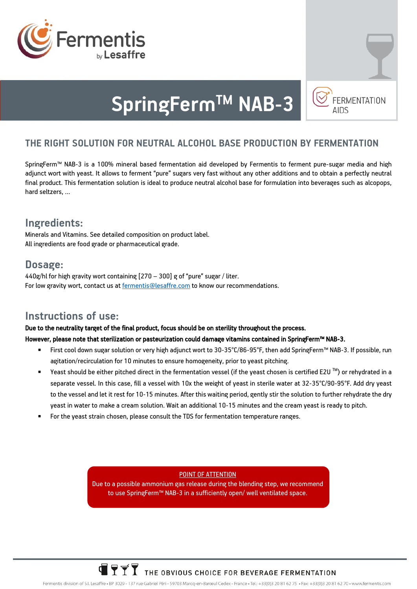



# **SpringFermTM NAB-3**

# **THE RIGHT SOLUTION FOR NEUTRAL ALCOHOL BASE PRODUCTION BY FERMENTATION**

SpringFerm™ NAB-3 is a 100% mineral based fermentation aid developed by Fermentis to ferment pure-sugar media and high adjunct wort with yeast. It allows to ferment "pure" sugars very fast without any other additions and to obtain a perfectly neutral final product. This fermentation solution is ideal to produce neutral alcohol base for formulation into beverages such as alcopops, hard seltzers, …

# **Ingredients:**

Minerals and Vitamins. See detailed composition on product label. All ingredients are food grade or pharmaceutical grade.

## **Dosage:**

440g/hl for high gravity wort containing [270 – 300] g of "pure" sugar / liter. For low gravity wort, contact us a[t fermentis@lesaffre.com](mailto:fermentis@lesaffre.com) to know our recommendations.

# **Instructions of use:**

#### Due to the neutrality target of the final product, focus should be on sterility throughout the process.

#### However, please note that sterilization or pasteurization could damage vitamins contained in SpringFerm™ NAB-3.

- First cool down sugar solution or very high adjunct wort to 30-35°C/86-95°F, then add SpringFerm™ NAB-3. If possible, run agitation/recirculation for 10 minutes to ensure homogeneity, prior to yeast pitching.
- Yeast should be either pitched direct in the fermentation vessel (if the yeast chosen is certified E2U  $^{TM}$ ) or rehydrated in a separate vessel. In this case, fill a vessel with 10x the weight of yeast in sterile water at 32-35°C/90-95°F. Add dry yeast to the vessel and let it rest for 10-15 minutes. After this waiting period, gently stir the solution to further rehydrate the dry yeast in water to make a cream solution. Wait an additional 10-15 minutes and the cream yeast is ready to pitch.
- For the yeast strain chosen, please consult the TDS for fermentation temperature ranges.

#### POINT OF ATTENTION

Due to a possible ammonium gas release during the blending step, we recommend to use SpringFerm™ NAB-3 in a sufficiently open/ well ventilated space.

# $\overline{\mathbf{T}}$   $\overline{\mathbf{Y}}$   $\overline{\mathbf{Y}}$  the obvious choice for beverage fermentation